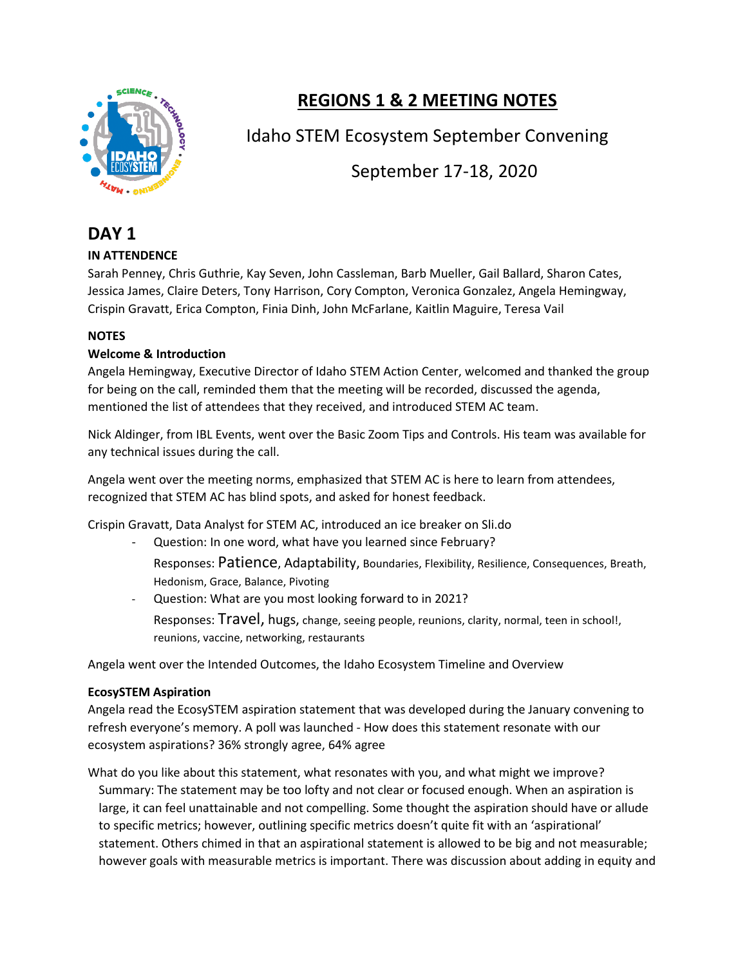

# **REGIONS 1 & 2 MEETING NOTES**

Idaho STEM Ecosystem September Convening

September 17-18, 2020

## **DAY 1**

## **IN ATTENDENCE**

Sarah Penney, Chris Guthrie, Kay Seven, John Cassleman, Barb Mueller, Gail Ballard, Sharon Cates, Jessica James, Claire Deters, Tony Harrison, Cory Compton, Veronica Gonzalez, Angela Hemingway, Crispin Gravatt, Erica Compton, Finia Dinh, John McFarlane, Kaitlin Maguire, Teresa Vail

## **NOTES**

## **Welcome & Introduction**

Angela Hemingway, Executive Director of Idaho STEM Action Center, welcomed and thanked the group for being on the call, reminded them that the meeting will be recorded, discussed the agenda, mentioned the list of attendees that they received, and introduced STEM AC team.

Nick Aldinger, from IBL Events, went over the Basic Zoom Tips and Controls. His team was available for any technical issues during the call.

Angela went over the meeting norms, emphasized that STEM AC is here to learn from attendees, recognized that STEM AC has blind spots, and asked for honest feedback.

Crispin Gravatt, Data Analyst for STEM AC, introduced an ice breaker on Sli.do

- Question: In one word, what have you learned since February? Responses: Patience, Adaptability, Boundaries, Flexibility, Resilience, Consequences, Breath, Hedonism, Grace, Balance, Pivoting

Question: What are you most looking forward to in 2021? Responses: Travel, hugs, change, seeing people, reunions, clarity, normal, teen in school!, reunions, vaccine, networking, restaurants

Angela went over the Intended Outcomes, the Idaho Ecosystem Timeline and Overview

## **EcosySTEM Aspiration**

Angela read the EcosySTEM aspiration statement that was developed during the January convening to refresh everyone's memory. A poll was launched - How does this statement resonate with our ecosystem aspirations? 36% strongly agree, 64% agree

What do you like about this statement, what resonates with you, and what might we improve? Summary: The statement may be too lofty and not clear or focused enough. When an aspiration is large, it can feel unattainable and not compelling. Some thought the aspiration should have or allude to specific metrics; however, outlining specific metrics doesn't quite fit with an 'aspirational' statement. Others chimed in that an aspirational statement is allowed to be big and not measurable; however goals with measurable metrics is important. There was discussion about adding in equity and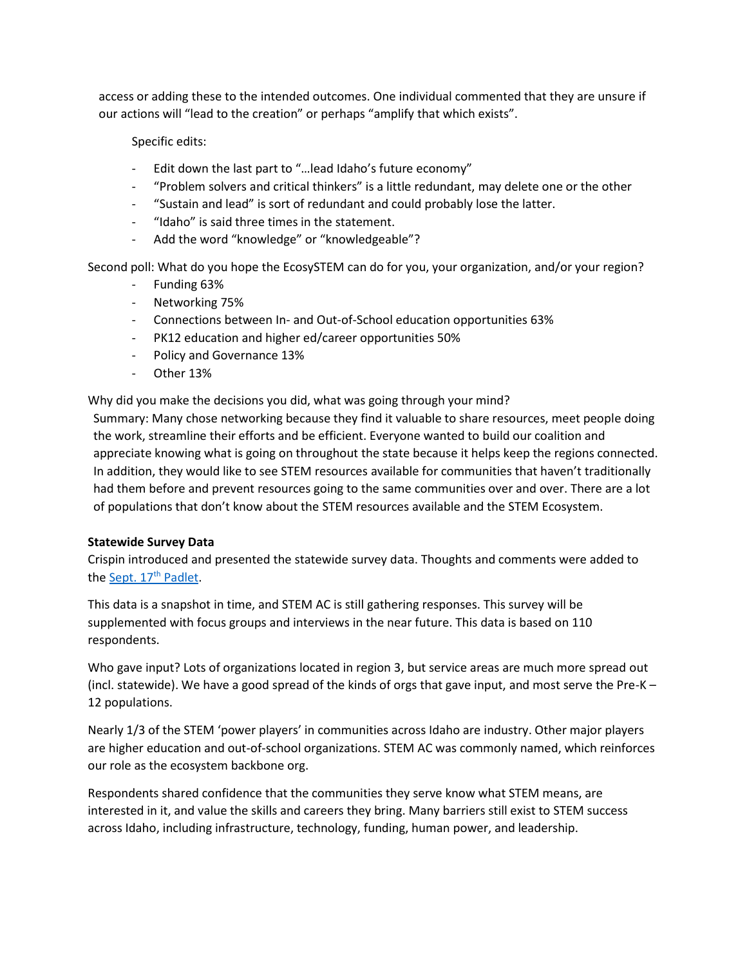access or adding these to the intended outcomes. One individual commented that they are unsure if our actions will "lead to the creation" or perhaps "amplify that which exists".

Specific edits:

- Edit down the last part to "…lead Idaho's future economy"
- "Problem solvers and critical thinkers" is a little redundant, may delete one or the other
- "Sustain and lead" is sort of redundant and could probably lose the latter.
- "Idaho" is said three times in the statement.
- Add the word "knowledge" or "knowledgeable"?

Second poll: What do you hope the EcosySTEM can do for you, your organization, and/or your region?

- Funding 63%
- Networking 75%
- Connections between In- and Out-of-School education opportunities 63%
- PK12 education and higher ed/career opportunities 50%
- Policy and Governance 13%
- Other 13%

Why did you make the decisions you did, what was going through your mind?

Summary: Many chose networking because they find it valuable to share resources, meet people doing the work, streamline their efforts and be efficient. Everyone wanted to build our coalition and appreciate knowing what is going on throughout the state because it helps keep the regions connected. In addition, they would like to see STEM resources available for communities that haven't traditionally had them before and prevent resources going to the same communities over and over. There are a lot of populations that don't know about the STEM resources available and the STEM Ecosystem.

#### **Statewide Survey Data**

Crispin introduced and presented the statewide survey data. Thoughts and comments were added to th[e Sept. 17](https://padlet.com/crispingravatt/bwusa03uup5e1yvy)<sup>th</sup> Padlet.

This data is a snapshot in time, and STEM AC is still gathering responses. This survey will be supplemented with focus groups and interviews in the near future. This data is based on 110 respondents.

Who gave input? Lots of organizations located in region 3, but service areas are much more spread out (incl. statewide). We have a good spread of the kinds of orgs that gave input, and most serve the Pre-K – 12 populations.

Nearly 1/3 of the STEM 'power players' in communities across Idaho are industry. Other major players are higher education and out-of-school organizations. STEM AC was commonly named, which reinforces our role as the ecosystem backbone org.

Respondents shared confidence that the communities they serve know what STEM means, are interested in it, and value the skills and careers they bring. Many barriers still exist to STEM success across Idaho, including infrastructure, technology, funding, human power, and leadership.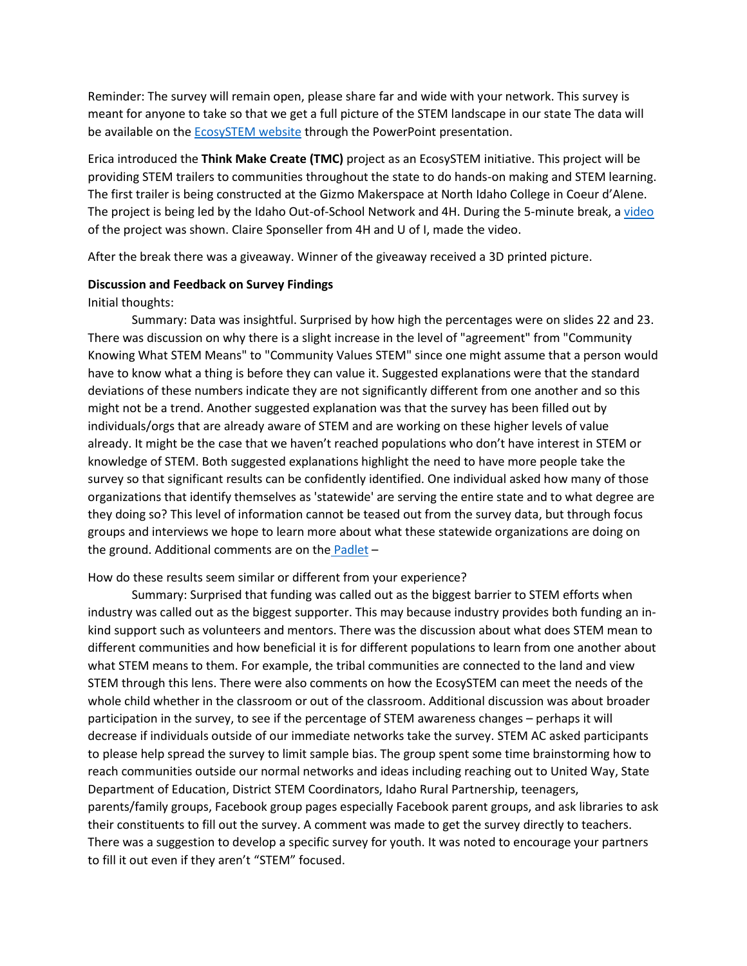Reminder: The survey will remain open, please share far and wide with your network. This survey is meant for anyone to take so that we get a full picture of the STEM landscape in our state The data will be available on the [EcosySTEM website](https://stem.idaho.gov/idaho-stem-ecosystem/) through the PowerPoint presentation.

Erica introduced the **Think Make Create (TMC)** project as an EcosySTEM initiative. This project will be providing STEM trailers to communities throughout the state to do hands-on making and STEM learning. The first trailer is being constructed at the Gizmo Makerspace at North Idaho College in Coeur d'Alene. The project is being led by the Idaho Out-of-School Network and 4H. During the 5-minute break, [a video](https://www.youtube.com/watch?v=OGItg1fnpEc&feature=youtu.be) of the project was shown. Claire Sponseller from 4H and U of I, made the video.

After the break there was a giveaway. Winner of the giveaway received a 3D printed picture.

#### **Discussion and Feedback on Survey Findings**

#### Initial thoughts:

Summary: Data was insightful. Surprised by how high the percentages were on slides 22 and 23. There was discussion on why there is a slight increase in the level of "agreement" from "Community Knowing What STEM Means" to "Community Values STEM" since one might assume that a person would have to know what a thing is before they can value it. Suggested explanations were that the standard deviations of these numbers indicate they are not significantly different from one another and so this might not be a trend. Another suggested explanation was that the survey has been filled out by individuals/orgs that are already aware of STEM and are working on these higher levels of value already. It might be the case that we haven't reached populations who don't have interest in STEM or knowledge of STEM. Both suggested explanations highlight the need to have more people take the survey so that significant results can be confidently identified. One individual asked how many of those organizations that identify themselves as 'statewide' are serving the entire state and to what degree are they doing so? This level of information cannot be teased out from the survey data, but through focus groups and interviews we hope to learn more about what these statewide organizations are doing on the ground. Additional comments are on the [Padlet](https://padlet.com/crispingravatt/bwusa03uup5e1yvy) -

#### How do these results seem similar or different from your experience?

Summary: Surprised that funding was called out as the biggest barrier to STEM efforts when industry was called out as the biggest supporter. This may because industry provides both funding an inkind support such as volunteers and mentors. There was the discussion about what does STEM mean to different communities and how beneficial it is for different populations to learn from one another about what STEM means to them. For example, the tribal communities are connected to the land and view STEM through this lens. There were also comments on how the EcosySTEM can meet the needs of the whole child whether in the classroom or out of the classroom. Additional discussion was about broader participation in the survey, to see if the percentage of STEM awareness changes – perhaps it will decrease if individuals outside of our immediate networks take the survey. STEM AC asked participants to please help spread the survey to limit sample bias. The group spent some time brainstorming how to reach communities outside our normal networks and ideas including reaching out to United Way, State Department of Education, District STEM Coordinators, Idaho Rural Partnership, teenagers, parents/family groups, Facebook group pages especially Facebook parent groups, and ask libraries to ask their constituents to fill out the survey. A comment was made to get the survey directly to teachers. There was a suggestion to develop a specific survey for youth. It was noted to encourage your partners to fill it out even if they aren't "STEM" focused.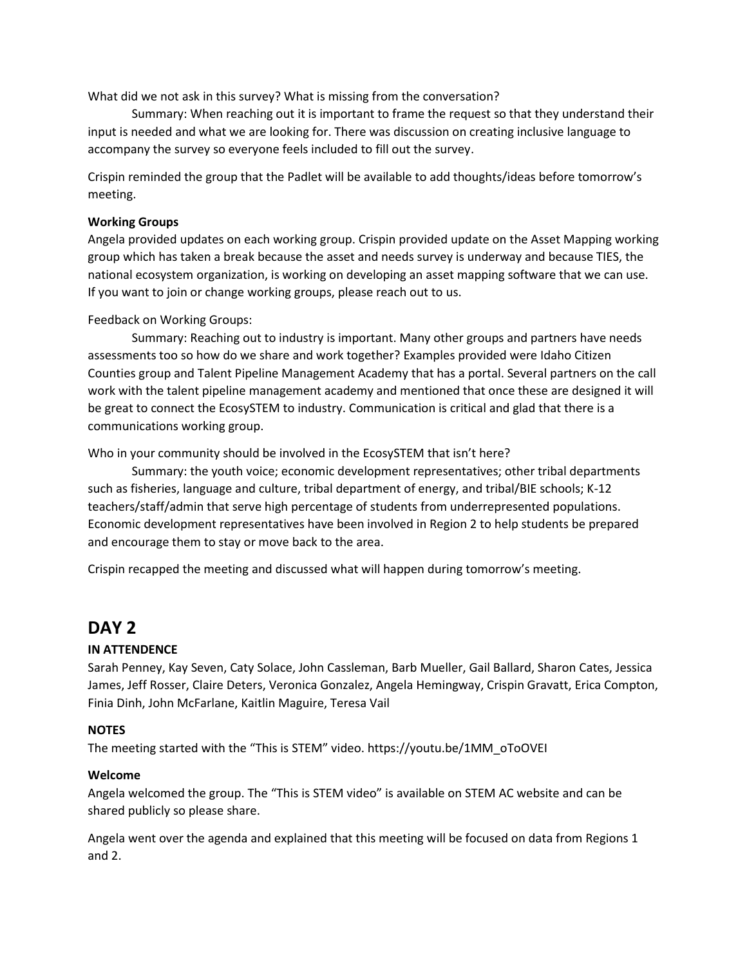What did we not ask in this survey? What is missing from the conversation?

Summary: When reaching out it is important to frame the request so that they understand their input is needed and what we are looking for. There was discussion on creating inclusive language to accompany the survey so everyone feels included to fill out the survey.

Crispin reminded the group that the Padlet will be available to add thoughts/ideas before tomorrow's meeting.

### **Working Groups**

Angela provided updates on each working group. Crispin provided update on the Asset Mapping working group which has taken a break because the asset and needs survey is underway and because TIES, the national ecosystem organization, is working on developing an asset mapping software that we can use. If you want to join or change working groups, please reach out to us.

#### Feedback on Working Groups:

Summary: Reaching out to industry is important. Many other groups and partners have needs assessments too so how do we share and work together? Examples provided were Idaho Citizen Counties group and Talent Pipeline Management Academy that has a portal. Several partners on the call work with the talent pipeline management academy and mentioned that once these are designed it will be great to connect the EcosySTEM to industry. Communication is critical and glad that there is a communications working group.

#### Who in your community should be involved in the EcosySTEM that isn't here?

Summary: the youth voice; economic development representatives; other tribal departments such as fisheries, language and culture, tribal department of energy, and tribal/BIE schools; K-12 teachers/staff/admin that serve high percentage of students from underrepresented populations. Economic development representatives have been involved in Region 2 to help students be prepared and encourage them to stay or move back to the area.

Crispin recapped the meeting and discussed what will happen during tomorrow's meeting.

## **DAY 2**

#### **IN ATTENDENCE**

Sarah Penney, Kay Seven, Caty Solace, John Cassleman, Barb Mueller, Gail Ballard, Sharon Cates, Jessica James, Jeff Rosser, Claire Deters, Veronica Gonzalez, Angela Hemingway, Crispin Gravatt, Erica Compton, Finia Dinh, John McFarlane, Kaitlin Maguire, Teresa Vail

#### **NOTES**

The meeting started with the "This is STEM" video. https://youtu.be/1MM\_oToOVEI

#### **Welcome**

Angela welcomed the group. The "This is STEM video" is available on STEM AC website and can be shared publicly so please share.

Angela went over the agenda and explained that this meeting will be focused on data from Regions 1 and 2.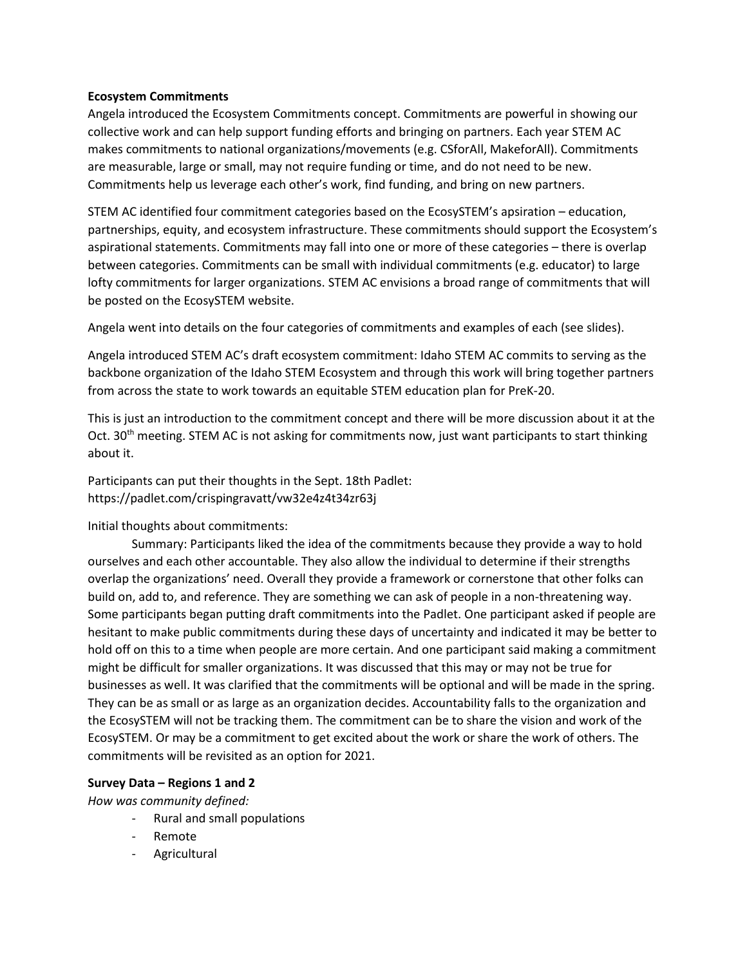#### **Ecosystem Commitments**

Angela introduced the Ecosystem Commitments concept. Commitments are powerful in showing our collective work and can help support funding efforts and bringing on partners. Each year STEM AC makes commitments to national organizations/movements (e.g. CSforAll, MakeforAll). Commitments are measurable, large or small, may not require funding or time, and do not need to be new. Commitments help us leverage each other's work, find funding, and bring on new partners.

STEM AC identified four commitment categories based on the EcosySTEM's apsiration – education, partnerships, equity, and ecosystem infrastructure. These commitments should support the Ecosystem's aspirational statements. Commitments may fall into one or more of these categories – there is overlap between categories. Commitments can be small with individual commitments (e.g. educator) to large lofty commitments for larger organizations. STEM AC envisions a broad range of commitments that will be posted on the EcosySTEM website.

Angela went into details on the four categories of commitments and examples of each (see slides).

Angela introduced STEM AC's draft ecosystem commitment: Idaho STEM AC commits to serving as the backbone organization of the Idaho STEM Ecosystem and through this work will bring together partners from across the state to work towards an equitable STEM education plan for PreK-20.

This is just an introduction to the commitment concept and there will be more discussion about it at the Oct. 30<sup>th</sup> meeting. STEM AC is not asking for commitments now, just want participants to start thinking about it.

Participants can put their thoughts in the Sept. 18th Padlet: https://padlet.com/crispingravatt/vw32e4z4t34zr63j

#### Initial thoughts about commitments:

Summary: Participants liked the idea of the commitments because they provide a way to hold ourselves and each other accountable. They also allow the individual to determine if their strengths overlap the organizations' need. Overall they provide a framework or cornerstone that other folks can build on, add to, and reference. They are something we can ask of people in a non-threatening way. Some participants began putting draft commitments into the Padlet. One participant asked if people are hesitant to make public commitments during these days of uncertainty and indicated it may be better to hold off on this to a time when people are more certain. And one participant said making a commitment might be difficult for smaller organizations. It was discussed that this may or may not be true for businesses as well. It was clarified that the commitments will be optional and will be made in the spring. They can be as small or as large as an organization decides. Accountability falls to the organization and the EcosySTEM will not be tracking them. The commitment can be to share the vision and work of the EcosySTEM. Or may be a commitment to get excited about the work or share the work of others. The commitments will be revisited as an option for 2021.

#### **Survey Data – Regions 1 and 2**

*How was community defined:* 

- Rural and small populations
- **Remote**
- Agricultural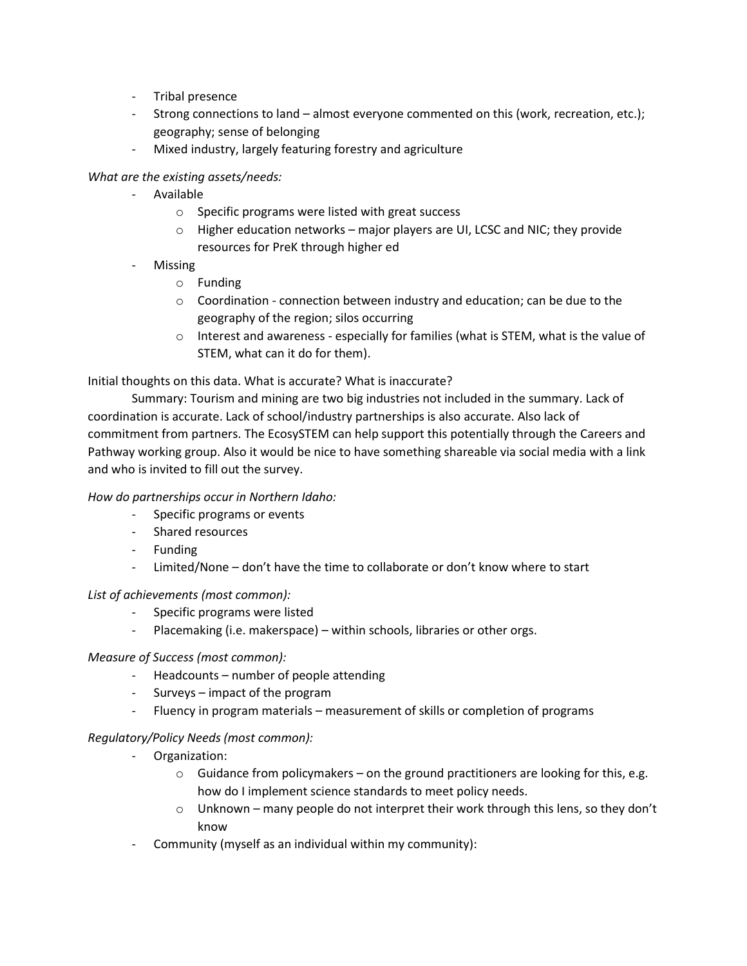- Tribal presence
- Strong connections to land almost everyone commented on this (work, recreation, etc.); geography; sense of belonging
- Mixed industry, largely featuring forestry and agriculture

## *What are the existing assets/needs:*

- Available
	- o Specific programs were listed with great success
	- $\circ$  Higher education networks major players are UI, LCSC and NIC; they provide resources for PreK through higher ed
- **Missing** 
	- o Funding
	- o Coordination connection between industry and education; can be due to the geography of the region; silos occurring
	- $\circ$  Interest and awareness especially for families (what is STEM, what is the value of STEM, what can it do for them).

Initial thoughts on this data. What is accurate? What is inaccurate?

Summary: Tourism and mining are two big industries not included in the summary. Lack of coordination is accurate. Lack of school/industry partnerships is also accurate. Also lack of commitment from partners. The EcosySTEM can help support this potentially through the Careers and Pathway working group. Also it would be nice to have something shareable via social media with a link and who is invited to fill out the survey.

## *How do partnerships occur in Northern Idaho:*

- Specific programs or events
- Shared resources
- Funding
- Limited/None don't have the time to collaborate or don't know where to start

#### *List of achievements (most common):*

- Specific programs were listed
- Placemaking (i.e. makerspace) within schools, libraries or other orgs.

#### *Measure of Success (most common):*

- Headcounts number of people attending
- Surveys impact of the program
- Fluency in program materials measurement of skills or completion of programs

## *Regulatory/Policy Needs (most common):*

- Organization:
	- $\circ$  Guidance from policymakers on the ground practitioners are looking for this, e.g. how do I implement science standards to meet policy needs.
	- $\circ$  Unknown many people do not interpret their work through this lens, so they don't know
- Community (myself as an individual within my community):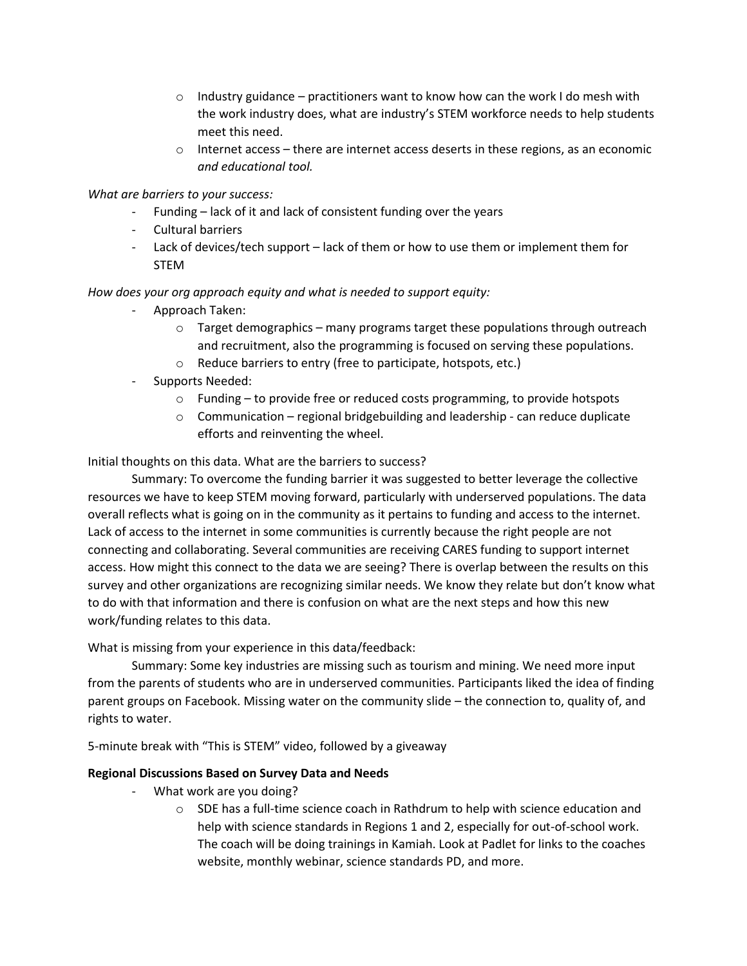- $\circ$  Industry guidance practitioners want to know how can the work I do mesh with the work industry does, what are industry's STEM workforce needs to help students meet this need.
- $\circ$  Internet access there are internet access deserts in these regions, as an economic *and educational tool.*

*What are barriers to your success:*

- Funding lack of it and lack of consistent funding over the years
- Cultural barriers
- Lack of devices/tech support lack of them or how to use them or implement them for STEM

### *How does your org approach equity and what is needed to support equity:*

- Approach Taken:
	- $\circ$  Target demographics many programs target these populations through outreach and recruitment, also the programming is focused on serving these populations.
	- o Reduce barriers to entry (free to participate, hotspots, etc.)
- Supports Needed:
	- $\circ$  Funding to provide free or reduced costs programming, to provide hotspots
	- o Communication regional bridgebuilding and leadership can reduce duplicate efforts and reinventing the wheel.

Initial thoughts on this data. What are the barriers to success?

Summary: To overcome the funding barrier it was suggested to better leverage the collective resources we have to keep STEM moving forward, particularly with underserved populations. The data overall reflects what is going on in the community as it pertains to funding and access to the internet. Lack of access to the internet in some communities is currently because the right people are not connecting and collaborating. Several communities are receiving CARES funding to support internet access. How might this connect to the data we are seeing? There is overlap between the results on this survey and other organizations are recognizing similar needs. We know they relate but don't know what to do with that information and there is confusion on what are the next steps and how this new work/funding relates to this data.

What is missing from your experience in this data/feedback:

Summary: Some key industries are missing such as tourism and mining. We need more input from the parents of students who are in underserved communities. Participants liked the idea of finding parent groups on Facebook. Missing water on the community slide – the connection to, quality of, and rights to water.

5-minute break with "This is STEM" video, followed by a giveaway

#### **Regional Discussions Based on Survey Data and Needs**

- What work are you doing?
	- $\circ$  SDE has a full-time science coach in Rathdrum to help with science education and help with science standards in Regions 1 and 2, especially for out-of-school work. The coach will be doing trainings in Kamiah. Look at Padlet for links to the coaches website, monthly webinar, science standards PD, and more.